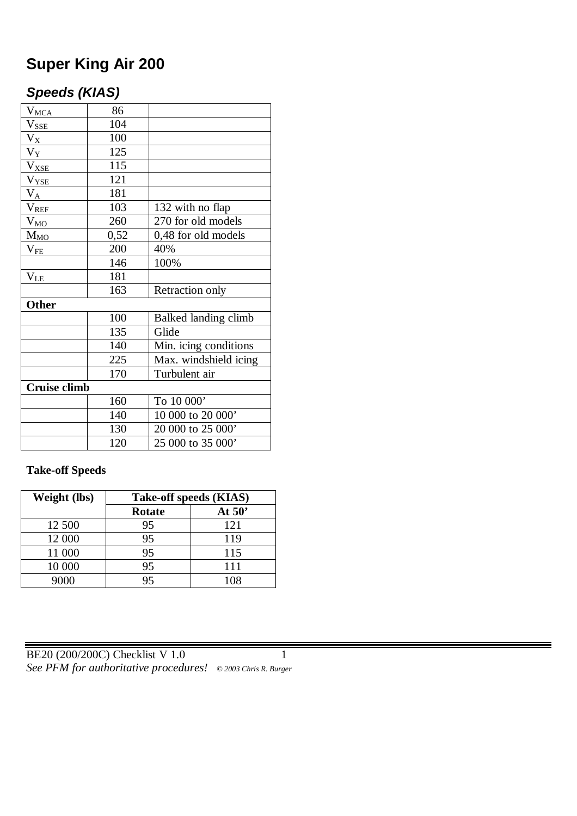# **Super King Air 200**

# *Speeds (KIAS)*

| $V_{\text{MCA}}$    | 86   |                       |  |  |
|---------------------|------|-----------------------|--|--|
| $V_{SSE}$           | 104  |                       |  |  |
| $V_{X_{-}}$         | 100  |                       |  |  |
| $V_Y$               | 125  |                       |  |  |
| $V_{XSE}$           | 115  |                       |  |  |
| $V_{YSE}$           | 121  |                       |  |  |
| $V_{A}$             | 181  |                       |  |  |
| $V_{REF}$           | 103  | 132 with no flap      |  |  |
| $V_{MQ}$            | 260  | 270 for old models    |  |  |
| $M_{MO}$            | 0,52 | 0,48 for old models   |  |  |
| $V_{FE}$            | 200  | 40%                   |  |  |
|                     | 146  | 100%                  |  |  |
| $\rm V_{LE}$        | 181  |                       |  |  |
|                     | 163  | Retraction only       |  |  |
| <b>Other</b>        |      |                       |  |  |
|                     | 100  | Balked landing climb  |  |  |
|                     | 135  | Glide                 |  |  |
|                     | 140  | Min. icing conditions |  |  |
|                     | 225  | Max. windshield icing |  |  |
|                     | 170  | Turbulent air         |  |  |
| <b>Cruise climb</b> |      |                       |  |  |
|                     | 160  | To 10 000'            |  |  |
|                     | 140  | 10 000 to 20 000'     |  |  |
|                     | 130  | 20 000 to 25 000'     |  |  |
|                     | 120  | 25 000 to 35 000'     |  |  |

#### **Take-off Speeds**

| Weight (lbs) | Take-off speeds (KIAS) |          |  |  |
|--------------|------------------------|----------|--|--|
|              | <b>Rotate</b>          | At $50'$ |  |  |
| 12 500       | 95                     | 121      |  |  |
| 12 000       | 95                     | 119      |  |  |
| 11 000       | 95                     | 115      |  |  |
| 10 000       | 95                     | 111      |  |  |
| 9000         | 95                     | 108      |  |  |

BE20 (200/200C) Checklist V 1.0 1 *See PFM for authoritative procedures! © 2003 Chris R. Burger*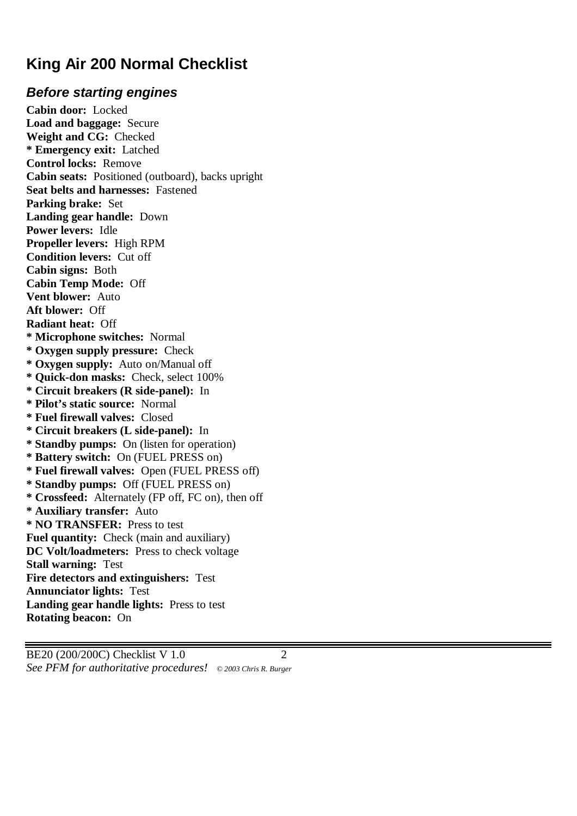# **King Air 200 Normal Checklist**

# *Before starting engines*

**Cabin door:** Locked **Load and baggage:** Secure **Weight and CG:** Checked **\* Emergency exit:** Latched **Control locks:** Remove **Cabin seats:** Positioned (outboard), backs upright **Seat belts and harnesses:** Fastened **Parking brake:** Set **Landing gear handle:** Down **Power levers:** Idle **Propeller levers:** High RPM **Condition levers:** Cut off **Cabin signs:** Both **Cabin Temp Mode:** Off **Vent blower:** Auto **Aft blower:** Off **Radiant heat:** Off **\* Microphone switches:** Normal **\* Oxygen supply pressure:** Check **\* Oxygen supply:** Auto on/Manual off **\* Quick-don masks:** Check, select 100% **\* Circuit breakers (R side-panel):** In **\* Pilot's static source:** Normal **\* Fuel firewall valves:** Closed **\* Circuit breakers (L side-panel):** In **\* Standby pumps:** On (listen for operation) **\* Battery switch:** On (FUEL PRESS on) **\* Fuel firewall valves:** Open (FUEL PRESS off) **\* Standby pumps:** Off (FUEL PRESS on) **\* Crossfeed:** Alternately (FP off, FC on), then off **\* Auxiliary transfer:** Auto **\* NO TRANSFER:** Press to test Fuel quantity: Check (main and auxiliary) **DC Volt/loadmeters:** Press to check voltage **Stall warning:** Test **Fire detectors and extinguishers:** Test **Annunciator lights:** Test **Landing gear handle lights:** Press to test **Rotating beacon:** On

BE20 (200/200C) Checklist V 1.0 2 *See PFM for authoritative procedures! © 2003 Chris R. Burger*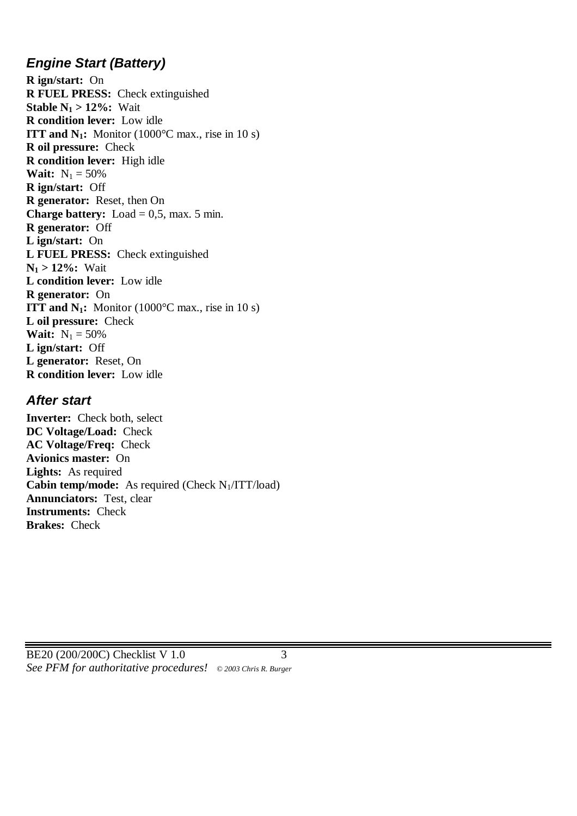### *Engine Start (Battery)*

**R ign/start:** On **R FUEL PRESS:** Check extinguished **Stable**  $N_1 > 12\%$ **: Wait R condition lever:** Low idle **ITT and N<sub>1</sub>:** Monitor (1000 $^{\circ}$ C max., rise in 10 s) **R oil pressure:** Check **R condition lever:** High idle **Wait:**  $N_1 = 50\%$ **R ign/start:** Off **R generator:** Reset, then On **Charge battery:** Load  $= 0.5$ , max. 5 min. **R generator:** Off **L ign/start:** On **L FUEL PRESS:** Check extinguished  $N_1 > 12\%$ : Wait **L condition lever:** Low idle **R generator:** On **ITT and N<sub>1</sub>:** Monitor (1000°C max., rise in 10 s) **L oil pressure:** Check **Wait:**  $N_1 = 50\%$ **L ign/start:** Off **L generator:** Reset, On **R condition lever:** Low idle

#### *After start*

**Inverter:** Check both, select **DC Voltage/Load:** Check **AC Voltage/Freq:** Check **Avionics master:** On **Lights:** As required **Cabin temp/mode:** As required (Check  $N_1/ITT/load$ ) **Annunciators:** Test, clear **Instruments:** Check **Brakes:** Check

BE20 (200/200C) Checklist V 1.0 3 *See PFM for authoritative procedures! © 2003 Chris R. Burger*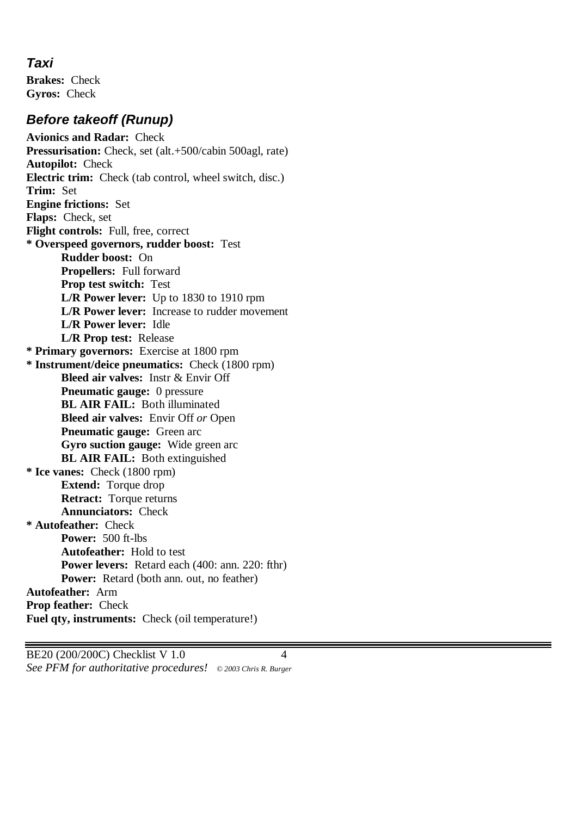#### *Taxi*

**Brakes:** Check **Gyros:** Check

### *Before takeoff (Runup)*

**Avionics and Radar:** Check **Pressurisation:** Check, set (alt.+500/cabin 500agl, rate) **Autopilot:** Check **Electric trim:** Check (tab control, wheel switch, disc.) **Trim:** Set **Engine frictions:** Set **Flaps:** Check, set **Flight controls:** Full, free, correct **\* Overspeed governors, rudder boost:** Test **Rudder boost:** On **Propellers:** Full forward **Prop test switch:** Test **L/R Power lever:** Up to 1830 to 1910 rpm **L/R Power lever:** Increase to rudder movement **L/R Power lever:** Idle **L/R Prop test:** Release **\* Primary governors:** Exercise at 1800 rpm **\* Instrument/deice pneumatics:** Check (1800 rpm) **Bleed air valves:** Instr & Envir Off **Pneumatic gauge:** 0 pressure **BL AIR FAIL:** Both illuminated **Bleed air valves:** Envir Off *or* Open **Pneumatic gauge:** Green arc **Gyro suction gauge:** Wide green arc **BL AIR FAIL:** Both extinguished **\* Ice vanes:** Check (1800 rpm) **Extend:** Torque drop **Retract:** Torque returns **Annunciators:** Check **\* Autofeather:** Check **Power:** 500 ft-lbs **Autofeather:** Hold to test **Power levers:** Retard each (400: ann. 220: fthr) **Power:** Retard (both ann. out, no feather) **Autofeather:** Arm **Prop feather:** Check **Fuel qty, instruments:** Check (oil temperature!)

BE20 (200/200C) Checklist V 1.0 4 *See PFM for authoritative procedures! © 2003 Chris R. Burger*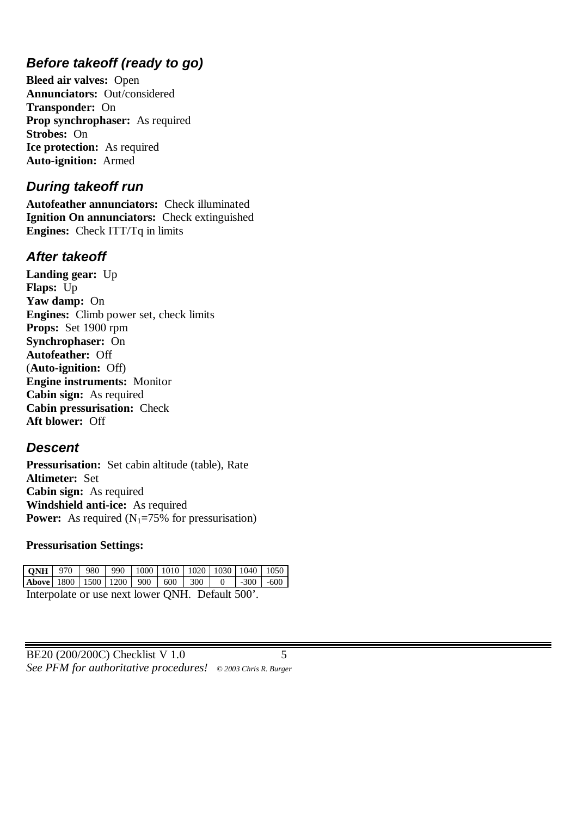## *Before takeoff (ready to go)*

**Bleed air valves:** Open **Annunciators:** Out/considered **Transponder:** On **Prop synchrophaser:** As required **Strobes:** On **Ice protection:** As required **Auto-ignition:** Armed

#### *During takeoff run*

**Autofeather annunciators:** Check illuminated **Ignition On annunciators:** Check extinguished **Engines:** Check ITT/Tq in limits

#### *After takeoff*

**Landing gear:** Up **Flaps:** Up **Yaw damp:** On **Engines:** Climb power set, check limits **Props:** Set 1900 rpm **Synchrophaser:** On **Autofeather:** Off (**Auto-ignition:** Off) **Engine instruments:** Monitor **Cabin sign:** As required **Cabin pressurisation:** Check **Aft blower:** Off

#### *Descent*

**Pressurisation:** Set cabin altitude (table), Rate **Altimeter:** Set **Cabin sign:** As required **Windshield anti-ice:** As required **Power:** As required  $(N_1=75\%$  for pressurisation)

#### **Pressurisation Settings:**

| <b>QNH</b>   970   980   990   1000   1010   1020   1030   1040   1050 |  |  |  |  |  |  |  |
|------------------------------------------------------------------------|--|--|--|--|--|--|--|
| <b>Above</b> 1800 1500 1200 900 600 300 0 -300 -600                    |  |  |  |  |  |  |  |
| Interpolate or use next lower QNH. Default 500'.                       |  |  |  |  |  |  |  |

| BE20 (200/200C) Checklist V 1.0                              |  |
|--------------------------------------------------------------|--|
| See PFM for authoritative procedures! © 2003 Chris R. Burger |  |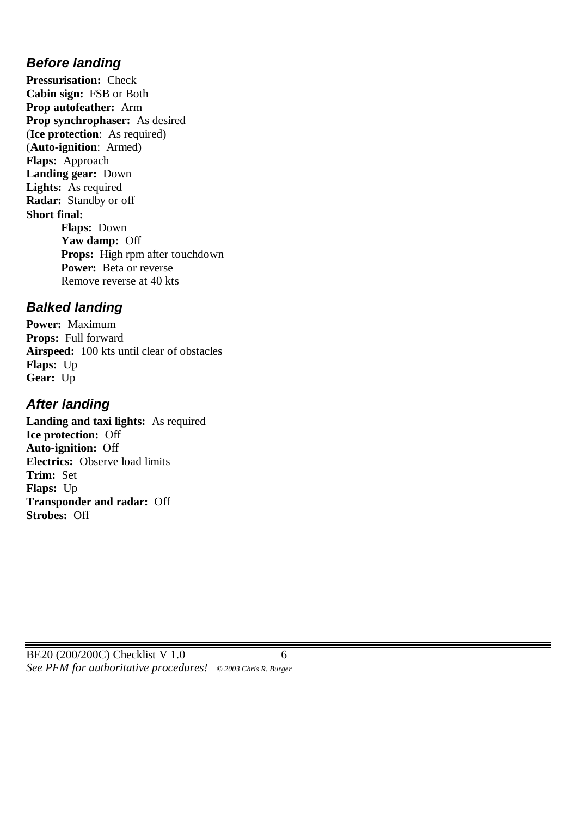### *Before landing*

**Pressurisation:** Check **Cabin sign:** FSB or Both **Prop autofeather:** Arm **Prop synchrophaser:** As desired (**Ice protection**: As required) (**Auto-ignition**: Armed) **Flaps:** Approach **Landing gear:** Down **Lights:** As required **Radar:** Standby or off **Short final: Flaps:** Down **Yaw damp:** Off **Props:** High rpm after touchdown **Power:** Beta or reverse Remove reverse at 40 kts

### *Balked landing*

**Power:** Maximum **Props:** Full forward **Airspeed:** 100 kts until clear of obstacles **Flaps:** Up **Gear:** Up

### *After landing*

**Landing and taxi lights:** As required **Ice protection:** Off **Auto-ignition:** Off **Electrics:** Observe load limits **Trim:** Set **Flaps:** Up **Transponder and radar:** Off **Strobes:** Off

BE20 (200/200C) Checklist V 1.0 6 *See PFM for authoritative procedures! © 2003 Chris R. Burger*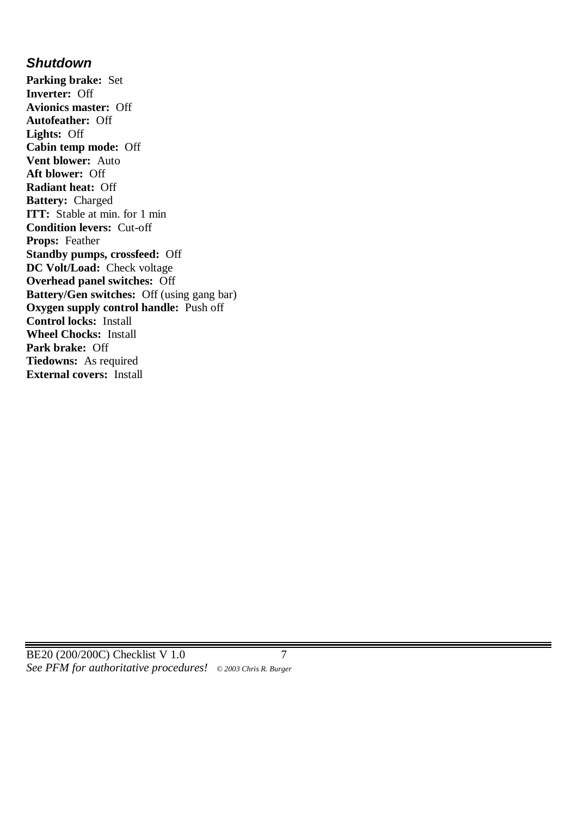#### *Shutdown*

**Parking brake:** Set **Inverter:** Off **Avionics master:** Off **Autofeather:** Off **Lights:** Off **Cabin temp mode:** Off **Vent blower:** Auto **Aft blower:** Off **Radiant heat:** Off **Battery:** Charged **ITT:** Stable at min. for 1 min **Condition levers:** Cut-off **Props:** Feather **Standby pumps, crossfeed:** Off **DC Volt/Load:** Check voltage **Overhead panel switches:** Off **Battery/Gen switches:** Off (using gang bar) **Oxygen supply control handle:** Push off **Control locks:** Install **Wheel Chocks:** Install **Park brake:** Off **Tiedowns:** As required **External covers:** Install

BE20 (200/200C) Checklist V 1.0 7 *See PFM for authoritative procedures! © 2003 Chris R. Burger*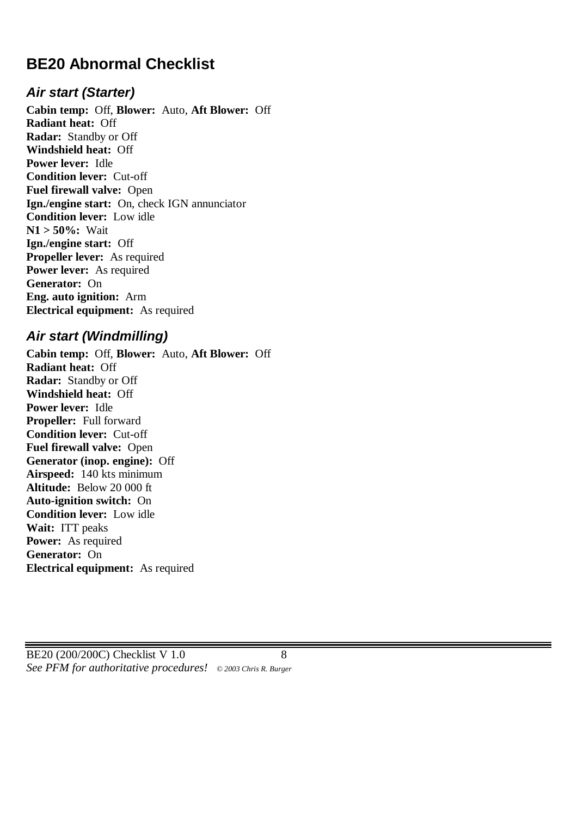# **BE20 Abnormal Checklist**

#### *Air start (Starter)*

**Cabin temp:** Off, **Blower:** Auto, **Aft Blower:** Off **Radiant heat:** Off **Radar:** Standby or Off **Windshield heat:** Off **Power lever:** Idle **Condition lever:** Cut-off **Fuel firewall valve:** Open **Ign./engine start:** On, check IGN annunciator **Condition lever:** Low idle **N1 > 50%:** Wait **Ign./engine start:** Off **Propeller lever:** As required **Power lever:** As required **Generator:** On **Eng. auto ignition:** Arm **Electrical equipment:** As required

#### *Air start (Windmilling)*

**Cabin temp:** Off, **Blower:** Auto, **Aft Blower:** Off **Radiant heat:** Off **Radar:** Standby or Off **Windshield heat:** Off **Power lever:** Idle **Propeller:** Full forward **Condition lever:** Cut-off **Fuel firewall valve:** Open **Generator (inop. engine):** Off **Airspeed:** 140 kts minimum **Altitude:** Below 20 000 ft **Auto-ignition switch:** On **Condition lever:** Low idle **Wait:** ITT peaks **Power:** As required **Generator:** On **Electrical equipment:** As required

BE20 (200/200C) Checklist V 1.0 8 *See PFM for authoritative procedures! © 2003 Chris R. Burger*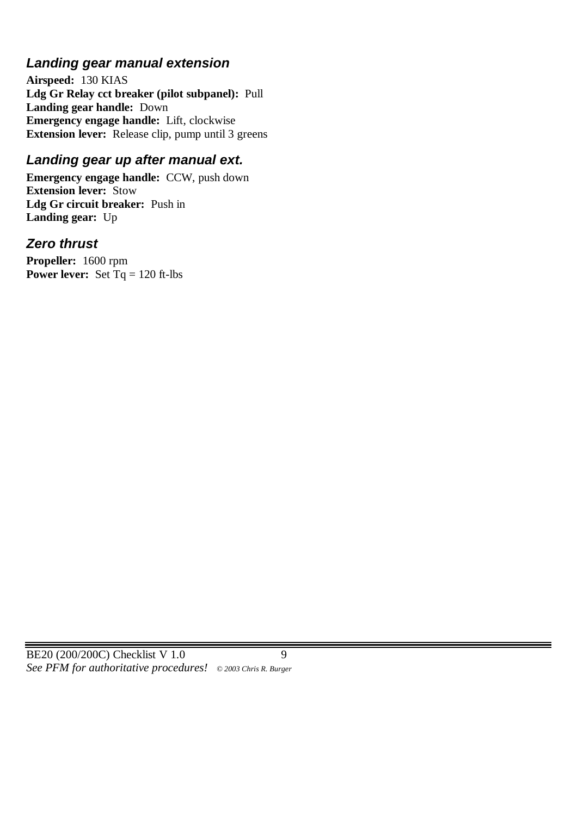### *Landing gear manual extension*

**Airspeed:** 130 KIAS **Ldg Gr Relay cct breaker (pilot subpanel):** Pull **Landing gear handle:** Down **Emergency engage handle:** Lift, clockwise **Extension lever:** Release clip, pump until 3 greens

### *Landing gear up after manual ext.*

**Emergency engage handle:** CCW, push down **Extension lever:** Stow **Ldg Gr circuit breaker:** Push in **Landing gear:** Up

#### *Zero thrust*

**Propeller:** 1600 rpm **Power lever:** Set  $Tq = 120$  ft-lbs

BE20 (200/200C) Checklist V 1.0 9 *See PFM for authoritative procedures! © 2003 Chris R. Burger*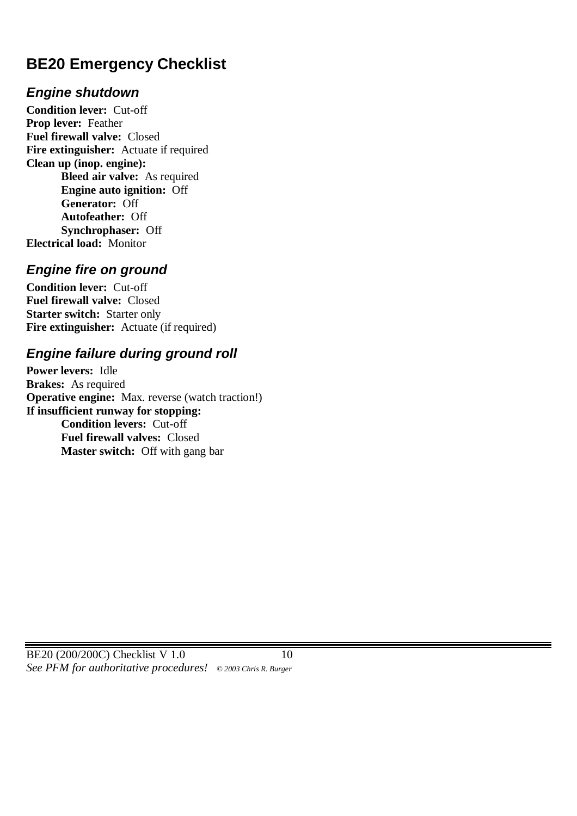# **BE20 Emergency Checklist**

### *Engine shutdown*

**Condition lever:** Cut-off **Prop lever:** Feather **Fuel firewall valve:** Closed **Fire extinguisher:** Actuate if required **Clean up (inop. engine): Bleed air valve:** As required **Engine auto ignition:** Off **Generator:** Off **Autofeather:** Off **Synchrophaser:** Off **Electrical load:** Monitor

#### *Engine fire on ground*

**Condition lever:** Cut-off **Fuel firewall valve:** Closed **Starter switch:** Starter only **Fire extinguisher:** Actuate (if required)

## *Engine failure during ground roll*

**Power levers:** Idle **Brakes:** As required **Operative engine:** Max. reverse (watch traction!) **If insufficient runway for stopping: Condition levers:** Cut-off **Fuel firewall valves:** Closed **Master switch:** Off with gang bar

BE20 (200/200C) Checklist V 1.0 10 *See PFM for authoritative procedures! © 2003 Chris R. Burger*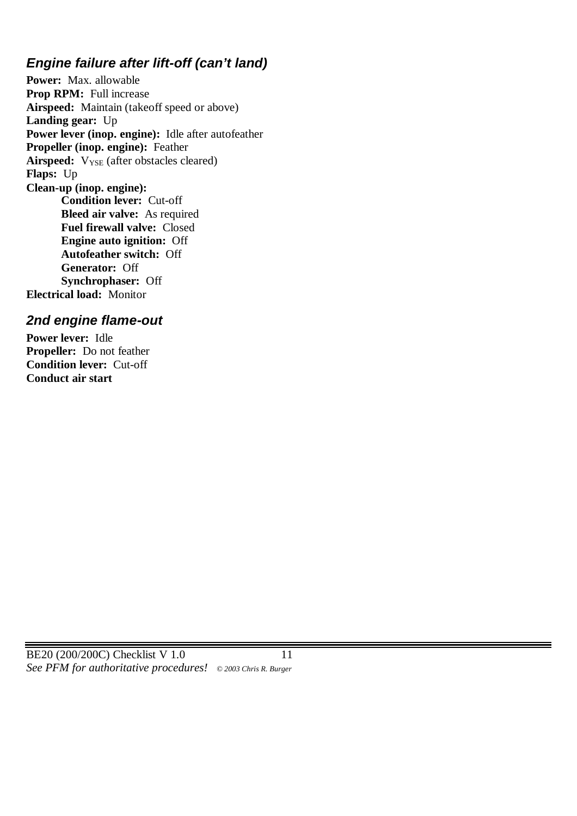## *Engine failure after lift-off (can't land)*

**Power:** Max. allowable **Prop RPM:** Full increase **Airspeed:** Maintain (takeoff speed or above) **Landing gear:** Up **Power lever (inop. engine):** Idle after autofeather **Propeller (inop. engine):** Feather Airspeed:  $V_{\text{YSE}}$  (after obstacles cleared) **Flaps:** Up **Clean-up (inop. engine): Condition lever:** Cut-off **Bleed air valve:** As required **Fuel firewall valve:** Closed **Engine auto ignition:** Off **Autofeather switch:** Off **Generator:** Off **Synchrophaser:** Off **Electrical load:** Monitor

### *2nd engine flame-out*

**Power lever:** Idle **Propeller:** Do not feather **Condition lever:** Cut-off **Conduct air start**

BE20 (200/200C) Checklist V 1.0 11 *See PFM for authoritative procedures! © 2003 Chris R. Burger*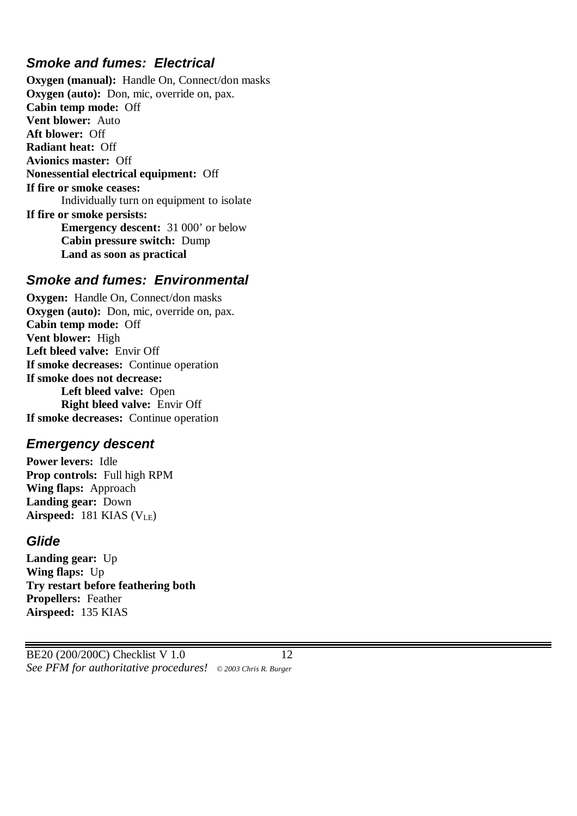### *Smoke and fumes: Electrical*

**Oxygen (manual):** Handle On, Connect/don masks **Oxygen (auto):** Don, mic, override on, pax. **Cabin temp mode:** Off **Vent blower:** Auto **Aft blower:** Off **Radiant heat:** Off **Avionics master:** Off **Nonessential electrical equipment:** Off **If fire or smoke ceases:** Individually turn on equipment to isolate **If fire or smoke persists: Emergency descent:** 31 000' or below **Cabin pressure switch:** Dump **Land as soon as practical**

#### *Smoke and fumes: Environmental*

**Oxygen:** Handle On, Connect/don masks **Oxygen (auto):** Don, mic, override on, pax. **Cabin temp mode:** Off **Vent blower:** High **Left bleed valve:** Envir Off **If smoke decreases:** Continue operation **If smoke does not decrease: Left bleed valve:** Open **Right bleed valve:** Envir Off **If smoke decreases:** Continue operation

#### *Emergency descent*

**Power levers:** Idle **Prop controls:** Full high RPM **Wing flaps:** Approach **Landing gear:** Down **Airspeed:**  $181$  KIAS ( $V_{LE}$ )

#### *Glide*

**Landing gear:** Up **Wing flaps:** Up **Try restart before feathering both Propellers:** Feather **Airspeed:** 135 KIAS

BE20 (200/200C) Checklist V 1.0 12 *See PFM for authoritative procedures! © 2003 Chris R. Burger*